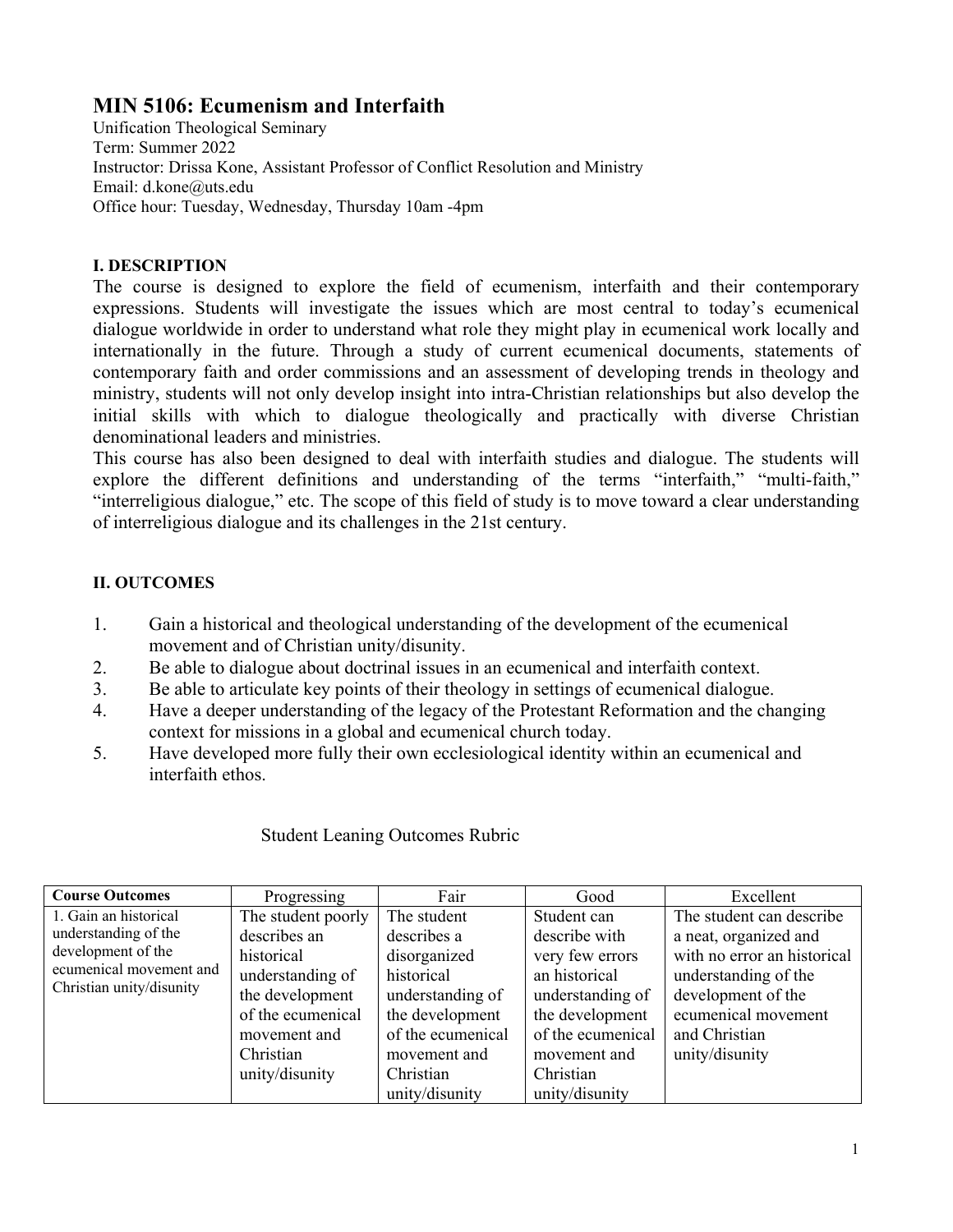# **MIN 5106: Ecumenism and Interfaith**

Unification Theological Seminary Term: Summer 2022 Instructor: Drissa Kone, Assistant Professor of Conflict Resolution and Ministry Email: d.kone@uts.edu Office hour: Tuesday, Wednesday, Thursday 10am -4pm

### **I. DESCRIPTION**

The course is designed to explore the field of ecumenism, interfaith and their contemporary expressions. Students will investigate the issues which are most central to today's ecumenical dialogue worldwide in order to understand what role they might play in ecumenical work locally and internationally in the future. Through a study of current ecumenical documents, statements of contemporary faith and order commissions and an assessment of developing trends in theology and ministry, students will not only develop insight into intra-Christian relationships but also develop the initial skills with which to dialogue theologically and practically with diverse Christian denominational leaders and ministries.

This course has also been designed to deal with interfaith studies and dialogue. The students will explore the different definitions and understanding of the terms "interfaith," "multi-faith," "interreligious dialogue," etc. The scope of this field of study is to move toward a clear understanding of interreligious dialogue and its challenges in the 21st century.

# **II. OUTCOMES**

- 1. Gain a historical and theological understanding of the development of the ecumenical movement and of Christian unity/disunity.
- 2. Be able to dialogue about doctrinal issues in an ecumenical and interfaith context.
- 3. Be able to articulate key points of their theology in settings of ecumenical dialogue.
- 4. Have a deeper understanding of the legacy of the Protestant Reformation and the changing context for missions in a global and ecumenical church today.
- 5. Have developed more fully their own ecclesiological identity within an ecumenical and interfaith ethos.

### Student Leaning Outcomes Rubric

| <b>Course Outcomes</b>   | Progressing        | Fair              | Good              | Excellent                   |
|--------------------------|--------------------|-------------------|-------------------|-----------------------------|
| 1. Gain an historical    | The student poorly | The student       | Student can       | The student can describe    |
| understanding of the     | describes an       | describes a       | describe with     | a neat, organized and       |
| development of the       | historical         | disorganized      | very few errors   | with no error an historical |
| ecumenical movement and  | understanding of   | historical        | an historical     | understanding of the        |
| Christian unity/disunity | the development    | understanding of  | understanding of  | development of the          |
|                          | of the ecumenical  | the development   | the development   | ecumenical movement         |
|                          | movement and       | of the ecumenical | of the ecumenical | and Christian               |
|                          | Christian          | movement and      | movement and      | unity/disunity              |
|                          | unity/disunity     | Christian         | Christian         |                             |
|                          |                    | unity/disunity    | unity/disunity    |                             |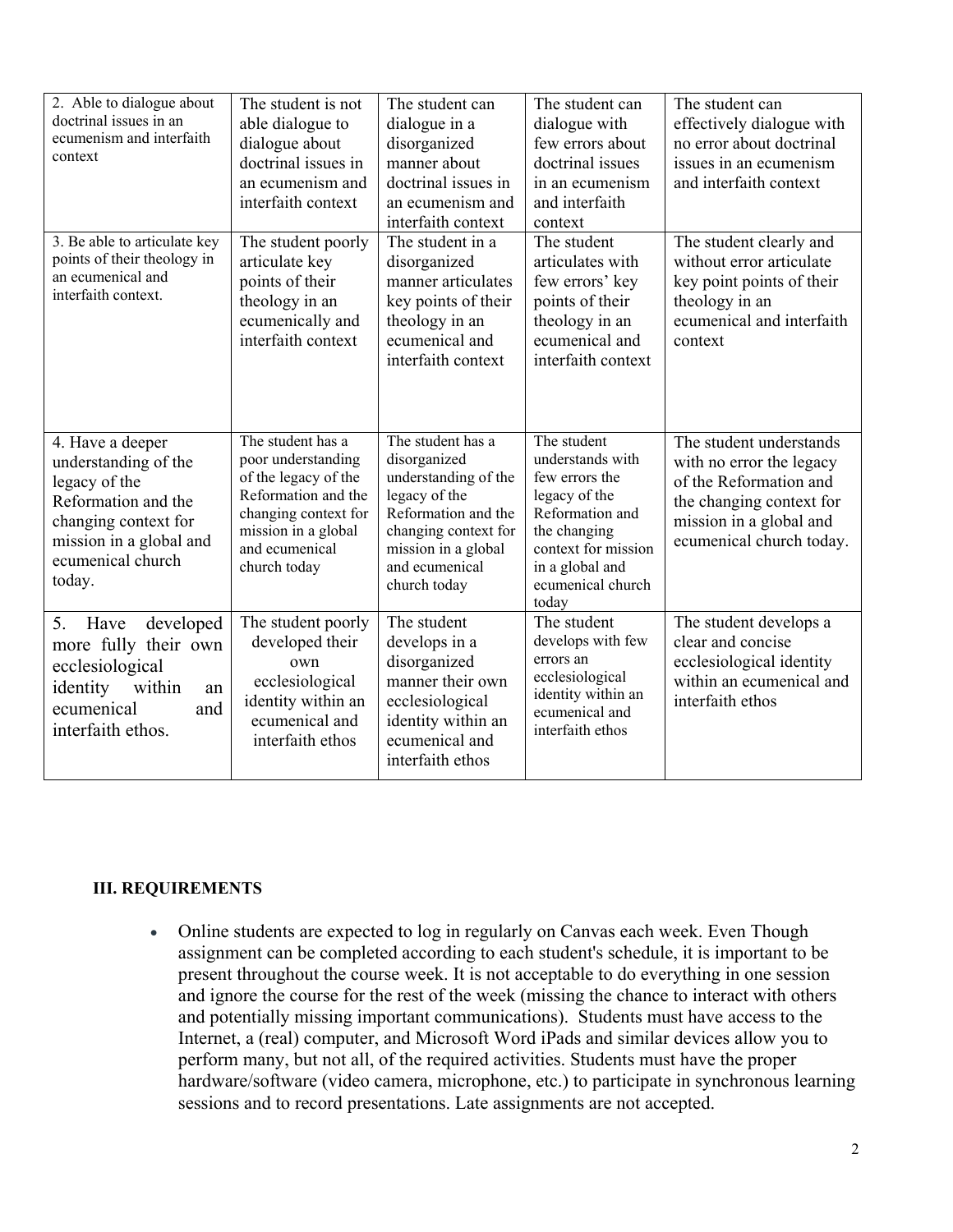| 2. Able to dialogue about<br>doctrinal issues in an<br>ecumenism and interfaith<br>context                                                                         | The student is not<br>able dialogue to<br>dialogue about<br>doctrinal issues in<br>an ecumenism and<br>interfaith context                                               | The student can<br>dialogue in a<br>disorganized<br>manner about<br>doctrinal issues in<br>an ecumenism and<br>interfaith context                                                  | The student can<br>dialogue with<br>few errors about<br>doctrinal issues<br>in an ecumenism<br>and interfaith<br>context                                                      | The student can<br>effectively dialogue with<br>no error about doctrinal<br>issues in an ecumenism<br>and interfaith context                                     |
|--------------------------------------------------------------------------------------------------------------------------------------------------------------------|-------------------------------------------------------------------------------------------------------------------------------------------------------------------------|------------------------------------------------------------------------------------------------------------------------------------------------------------------------------------|-------------------------------------------------------------------------------------------------------------------------------------------------------------------------------|------------------------------------------------------------------------------------------------------------------------------------------------------------------|
| 3. Be able to articulate key<br>points of their theology in<br>an ecumenical and<br>interfaith context.                                                            | The student poorly<br>articulate key<br>points of their<br>theology in an<br>ecumenically and<br>interfaith context                                                     | The student in a<br>disorganized<br>manner articulates<br>key points of their<br>theology in an<br>ecumenical and<br>interfaith context                                            | The student<br>articulates with<br>few errors' key<br>points of their<br>theology in an<br>ecumenical and<br>interfaith context                                               | The student clearly and<br>without error articulate<br>key point points of their<br>theology in an<br>ecumenical and interfaith<br>context                       |
| 4. Have a deeper<br>understanding of the<br>legacy of the<br>Reformation and the<br>changing context for<br>mission in a global and<br>ecumenical church<br>today. | The student has a<br>poor understanding<br>of the legacy of the<br>Reformation and the<br>changing context for<br>mission in a global<br>and ecumenical<br>church today | The student has a<br>disorganized<br>understanding of the<br>legacy of the<br>Reformation and the<br>changing context for<br>mission in a global<br>and ecumenical<br>church today | The student<br>understands with<br>few errors the<br>legacy of the<br>Reformation and<br>the changing<br>context for mission<br>in a global and<br>ecumenical church<br>today | The student understands<br>with no error the legacy<br>of the Reformation and<br>the changing context for<br>mission in a global and<br>ecumenical church today. |
| 5.<br>developed<br>Have<br>more fully their own<br>ecclesiological<br>within<br>identity<br>an<br>ecumenical<br>and<br>interfaith ethos.                           | The student poorly<br>developed their<br>own<br>ecclesiological<br>identity within an<br>ecumenical and<br>interfaith ethos                                             | The student<br>develops in a<br>disorganized<br>manner their own<br>ecclesiological<br>identity within an<br>ecumenical and<br>interfaith ethos                                    | The student<br>develops with few<br>errors an<br>ecclesiological<br>identity within an<br>ecumenical and<br>interfaith ethos                                                  | The student develops a<br>clear and concise<br>ecclesiological identity<br>within an ecumenical and<br>interfaith ethos                                          |

#### **III. REQUIREMENTS**

• Online students are expected to log in regularly on Canvas each week. Even Though assignment can be completed according to each student's schedule, it is important to be present throughout the course week. It is not acceptable to do everything in one session and ignore the course for the rest of the week (missing the chance to interact with others and potentially missing important communications). Students must have access to the Internet, a (real) computer, and Microsoft Word iPads and similar devices allow you to perform many, but not all, of the required activities. Students must have the proper hardware/software (video camera, microphone, etc.) to participate in synchronous learning sessions and to record presentations. Late assignments are not accepted.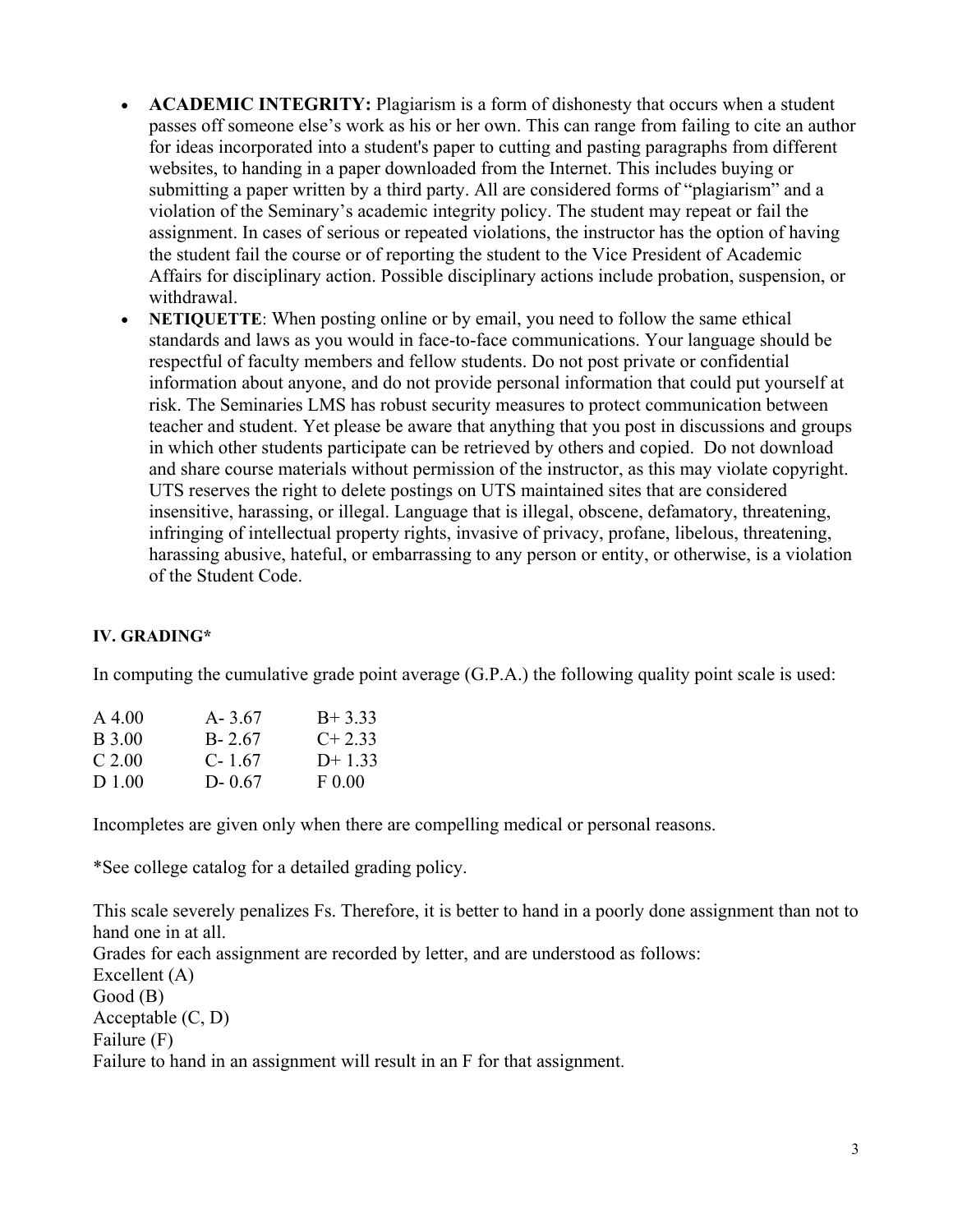- **ACADEMIC INTEGRITY:** Plagiarism is a form of dishonesty that occurs when a student passes off someone else's work as his or her own. This can range from failing to cite an author for ideas incorporated into a student's paper to cutting and pasting paragraphs from different websites, to handing in a paper downloaded from the Internet. This includes buying or submitting a paper written by a third party. All are considered forms of "plagiarism" and a violation of the Seminary's academic integrity policy. The student may repeat or fail the assignment. In cases of serious or repeated violations, the instructor has the option of having the student fail the course or of reporting the student to the Vice President of Academic Affairs for disciplinary action. Possible disciplinary actions include probation, suspension, or withdrawal.
- **NETIQUETTE:** When posting online or by email, you need to follow the same ethical standards and laws as you would in face-to-face communications. Your language should be respectful of faculty members and fellow students. Do not post private or confidential information about anyone, and do not provide personal information that could put yourself at risk. The Seminaries LMS has robust security measures to protect communication between teacher and student. Yet please be aware that anything that you post in discussions and groups in which other students participate can be retrieved by others and copied. Do not download and share course materials without permission of the instructor, as this may violate copyright. UTS reserves the right to delete postings on UTS maintained sites that are considered insensitive, harassing, or illegal. Language that is illegal, obscene, defamatory, threatening, infringing of intellectual property rights, invasive of privacy, profane, libelous, threatening, harassing abusive, hateful, or embarrassing to any person or entity, or otherwise, is a violation of the Student Code.

### **IV. GRADING\***

In computing the cumulative grade point average (G.P.A.) the following quality point scale is used:

| $A\,4.00$ | $A - 3.67$ | $B+3.33$  |
|-----------|------------|-----------|
| B 3.00    | $B - 2.67$ | $C+2.33$  |
| $C$ 2.00  | $C - 1.67$ | $D+1.33$  |
| D 1.00    | $D - 0.67$ | $F\ 0.00$ |

Incompletes are given only when there are compelling medical or personal reasons.

\*See college catalog for a detailed grading policy.

This scale severely penalizes Fs. Therefore, it is better to hand in a poorly done assignment than not to hand one in at all. Grades for each assignment are recorded by letter, and are understood as follows: Excellent (A) Good (B) Acceptable (C, D) Failure (F)

Failure to hand in an assignment will result in an F for that assignment.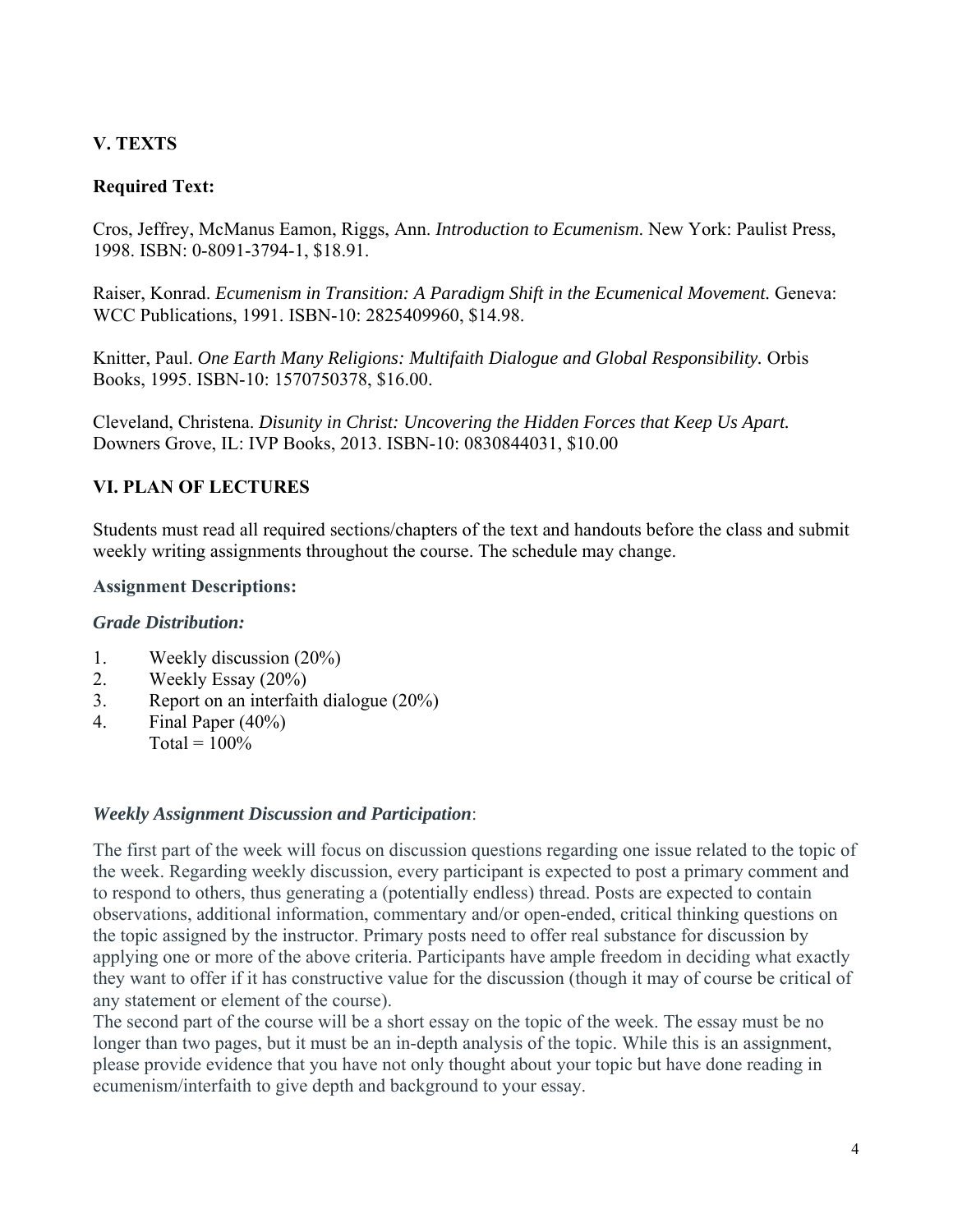# **V. TEXTS**

# **Required Text:**

Cros, Jeffrey, McManus Eamon, Riggs, Ann. *Introduction to Ecumenism*. New York: Paulist Press, 1998. ISBN: 0-8091-3794-1, \$18.91.

Raiser, Konrad. *Ecumenism in Transition: A Paradigm Shift in the Ecumenical Movement.* Geneva: WCC Publications, 1991. ISBN-10: 2825409960, \$14.98.

Knitter, Paul. *One Earth Many Religions: Multifaith Dialogue and Global Responsibility.* Orbis Books, 1995. ISBN-10: 1570750378, \$16.00.

Cleveland, Christena. *Disunity in Christ: Uncovering the Hidden Forces that Keep Us Apart.* Downers Grove, IL: IVP Books, 2013. ISBN-10: 0830844031, \$10.00

# **VI. PLAN OF LECTURES**

Students must read all required sections/chapters of the text and handouts before the class and submit weekly writing assignments throughout the course. The schedule may change.

#### **Assignment Descriptions:**

### *Grade Distribution:*

- 1. Weekly discussion (20%)
- 2. Weekly Essay (20%)
- 3. Report on an interfaith dialogue (20%)
- 4. Final Paper (40%)  $Total = 100\%$

#### *Weekly Assignment Discussion and Participation*:

The first part of the week will focus on discussion questions regarding one issue related to the topic of the week. Regarding weekly discussion, every participant is expected to post a primary comment and to respond to others, thus generating a (potentially endless) thread. Posts are expected to contain observations, additional information, commentary and/or open-ended, critical thinking questions on the topic assigned by the instructor. Primary posts need to offer real substance for discussion by applying one or more of the above criteria. Participants have ample freedom in deciding what exactly they want to offer if it has constructive value for the discussion (though it may of course be critical of any statement or element of the course).

The second part of the course will be a short essay on the topic of the week. The essay must be no longer than two pages, but it must be an in-depth analysis of the topic. While this is an assignment, please provide evidence that you have not only thought about your topic but have done reading in ecumenism/interfaith to give depth and background to your essay.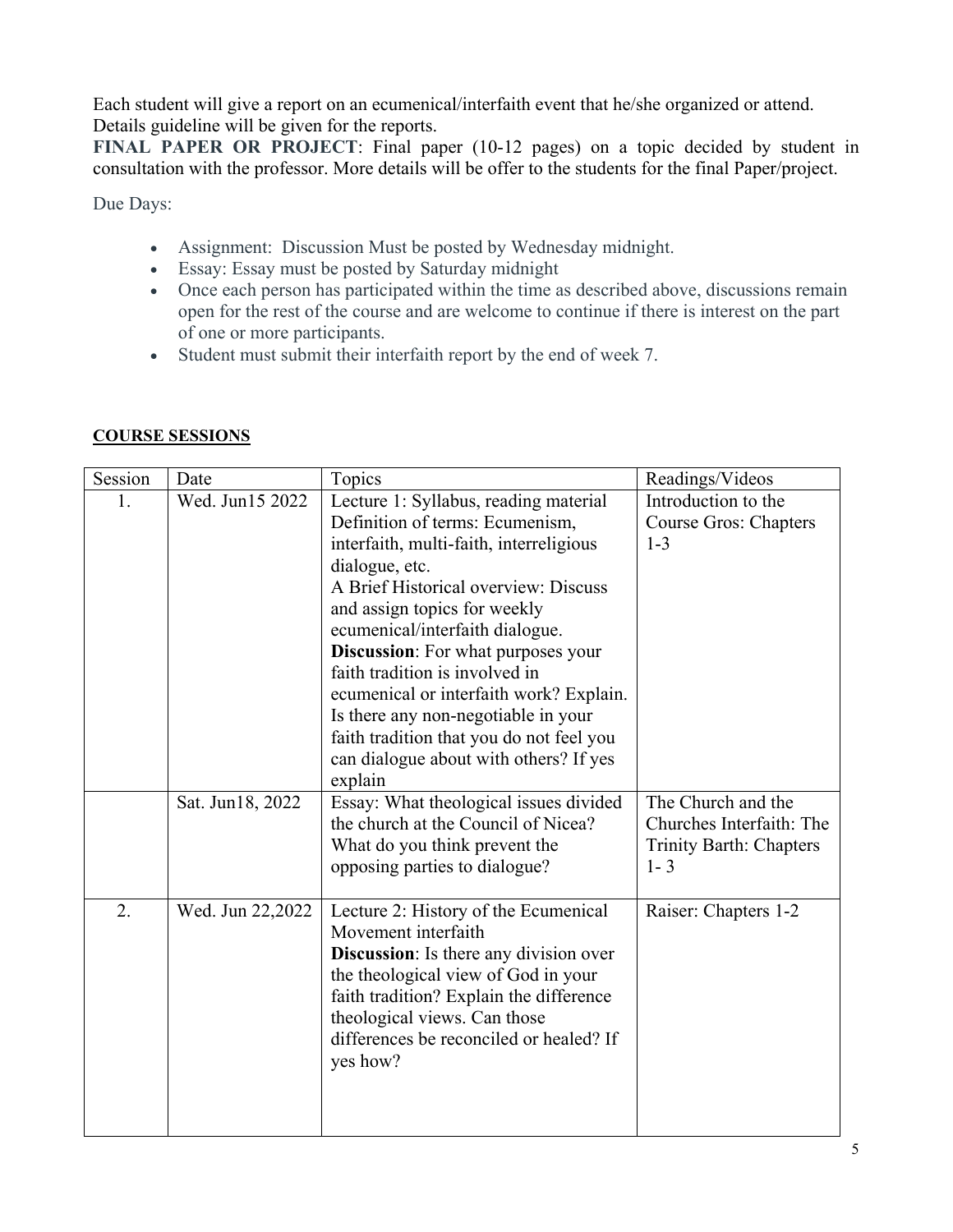Each student will give a report on an ecumenical/interfaith event that he/she organized or attend. Details guideline will be given for the reports.

**FINAL PAPER OR PROJECT**: Final paper (10-12 pages) on a topic decided by student in consultation with the professor. More details will be offer to the students for the final Paper/project.

Due Days:

- Assignment: Discussion Must be posted by Wednesday midnight.
- Essay: Essay must be posted by Saturday midnight
- Once each person has participated within the time as described above, discussions remain open for the rest of the course and are welcome to continue if there is interest on the part of one or more participants.
- Student must submit their interfaith report by the end of week 7.

| Session | Date             | Topics                                                                                                                                                                                                                                                                                                                                                                                                                                                                                                      | Readings/Videos                                                                             |
|---------|------------------|-------------------------------------------------------------------------------------------------------------------------------------------------------------------------------------------------------------------------------------------------------------------------------------------------------------------------------------------------------------------------------------------------------------------------------------------------------------------------------------------------------------|---------------------------------------------------------------------------------------------|
| 1.      | Wed. Jun15 2022  | Lecture 1: Syllabus, reading material<br>Definition of terms: Ecumenism,<br>interfaith, multi-faith, interreligious<br>dialogue, etc.<br>A Brief Historical overview: Discuss<br>and assign topics for weekly<br>ecumenical/interfaith dialogue.<br>Discussion: For what purposes your<br>faith tradition is involved in<br>ecumenical or interfaith work? Explain.<br>Is there any non-negotiable in your<br>faith tradition that you do not feel you<br>can dialogue about with others? If yes<br>explain | Introduction to the<br>Course Gros: Chapters<br>$1 - 3$                                     |
|         | Sat. Jun18, 2022 | Essay: What theological issues divided<br>the church at the Council of Nicea?<br>What do you think prevent the<br>opposing parties to dialogue?                                                                                                                                                                                                                                                                                                                                                             | The Church and the<br>Churches Interfaith: The<br><b>Trinity Barth: Chapters</b><br>$1 - 3$ |
| 2.      | Wed. Jun 22,2022 | Lecture 2: History of the Ecumenical<br>Movement interfaith<br><b>Discussion:</b> Is there any division over<br>the theological view of God in your<br>faith tradition? Explain the difference<br>theological views. Can those<br>differences be reconciled or healed? If<br>yes how?                                                                                                                                                                                                                       | Raiser: Chapters 1-2                                                                        |

### **COURSE SESSIONS**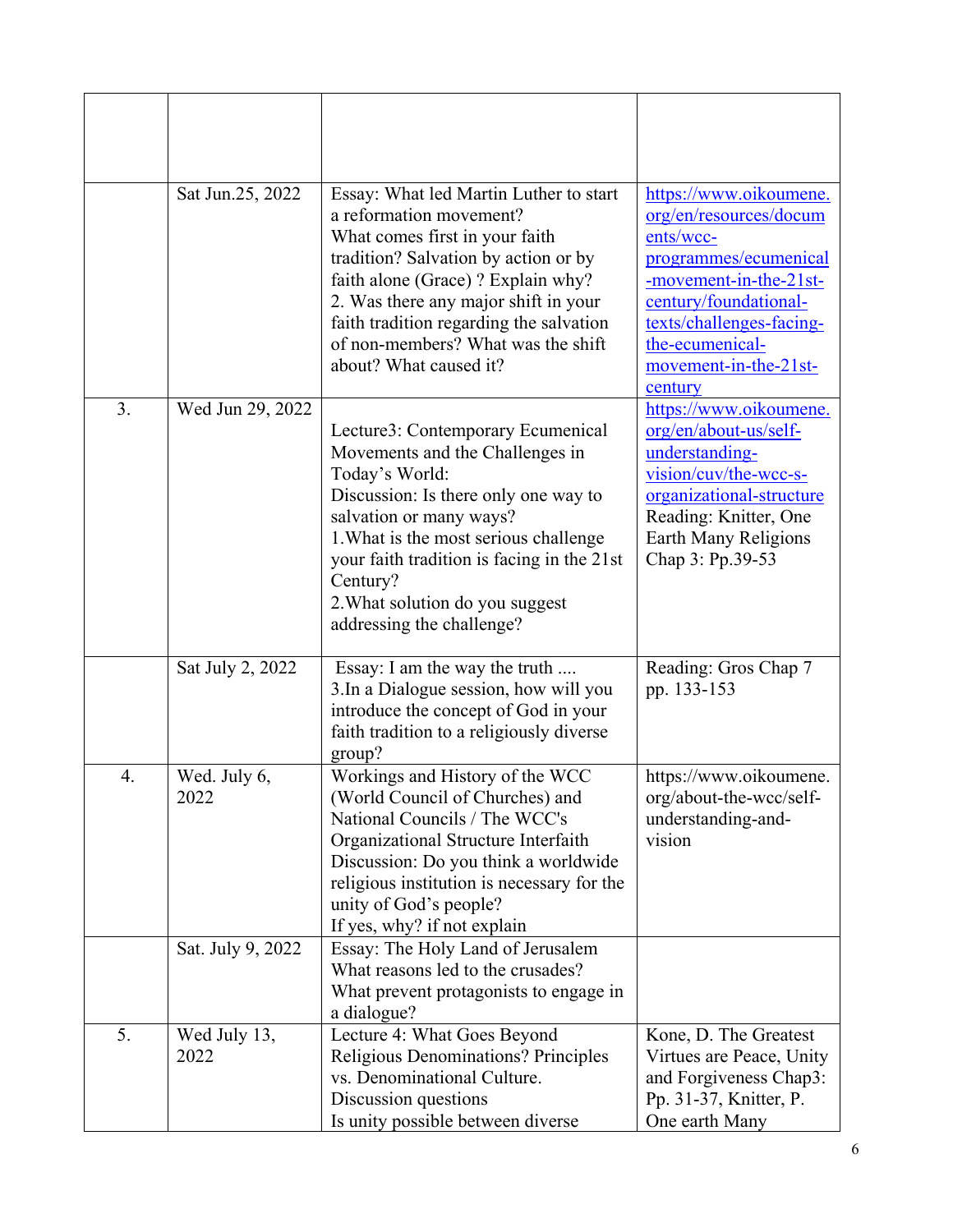|    | Sat Jun.25, 2022     | Essay: What led Martin Luther to start<br>a reformation movement?<br>What comes first in your faith<br>tradition? Salvation by action or by<br>faith alone (Grace)? Explain why?<br>2. Was there any major shift in your<br>faith tradition regarding the salvation<br>of non-members? What was the shift<br>about? What caused it? | https://www.oikoumene.<br>org/en/resources/docum<br>ents/wcc-<br>programmes/ecumenical<br>-movement-in-the-21st-<br>century/foundational-<br>texts/challenges-facing-<br>the-ecumenical-<br>movement-in-the-21st-<br>century |
|----|----------------------|-------------------------------------------------------------------------------------------------------------------------------------------------------------------------------------------------------------------------------------------------------------------------------------------------------------------------------------|------------------------------------------------------------------------------------------------------------------------------------------------------------------------------------------------------------------------------|
| 3. | Wed Jun 29, 2022     | Lecture3: Contemporary Ecumenical<br>Movements and the Challenges in<br>Today's World:<br>Discussion: Is there only one way to<br>salvation or many ways?<br>1. What is the most serious challenge<br>your faith tradition is facing in the 21st<br>Century?<br>2. What solution do you suggest<br>addressing the challenge?        | https://www.oikoumene.<br>org/en/about-us/self-<br>understanding-<br>vision/cuv/the-wcc-s-<br>organizational-structure<br>Reading: Knitter, One<br>Earth Many Religions<br>Chap 3: Pp.39-53                                  |
|    | Sat July 2, 2022     | Essay: I am the way the truth<br>3. In a Dialogue session, how will you<br>introduce the concept of God in your<br>faith tradition to a religiously diverse<br>group?                                                                                                                                                               | Reading: Gros Chap 7<br>pp. 133-153                                                                                                                                                                                          |
| 4. | Wed. July 6,<br>2022 | Workings and History of the WCC<br>(World Council of Churches) and<br>National Councils / The WCC's<br>Organizational Structure Interfaith<br>Discussion: Do you think a worldwide<br>religious institution is necessary for the<br>unity of God's people?<br>If yes, why? if not explain                                           | https://www.oikoumene.<br>org/about-the-wcc/self-<br>understanding-and-<br>vision                                                                                                                                            |
|    | Sat. July 9, 2022    | Essay: The Holy Land of Jerusalem<br>What reasons led to the crusades?<br>What prevent protagonists to engage in<br>a dialogue?                                                                                                                                                                                                     |                                                                                                                                                                                                                              |
| 5. | Wed July 13,<br>2022 | Lecture 4: What Goes Beyond<br><b>Religious Denominations? Principles</b><br>vs. Denominational Culture.<br>Discussion questions<br>Is unity possible between diverse                                                                                                                                                               | Kone, D. The Greatest<br>Virtues are Peace, Unity<br>and Forgiveness Chap3:<br>Pp. 31-37, Knitter, P.<br>One earth Many                                                                                                      |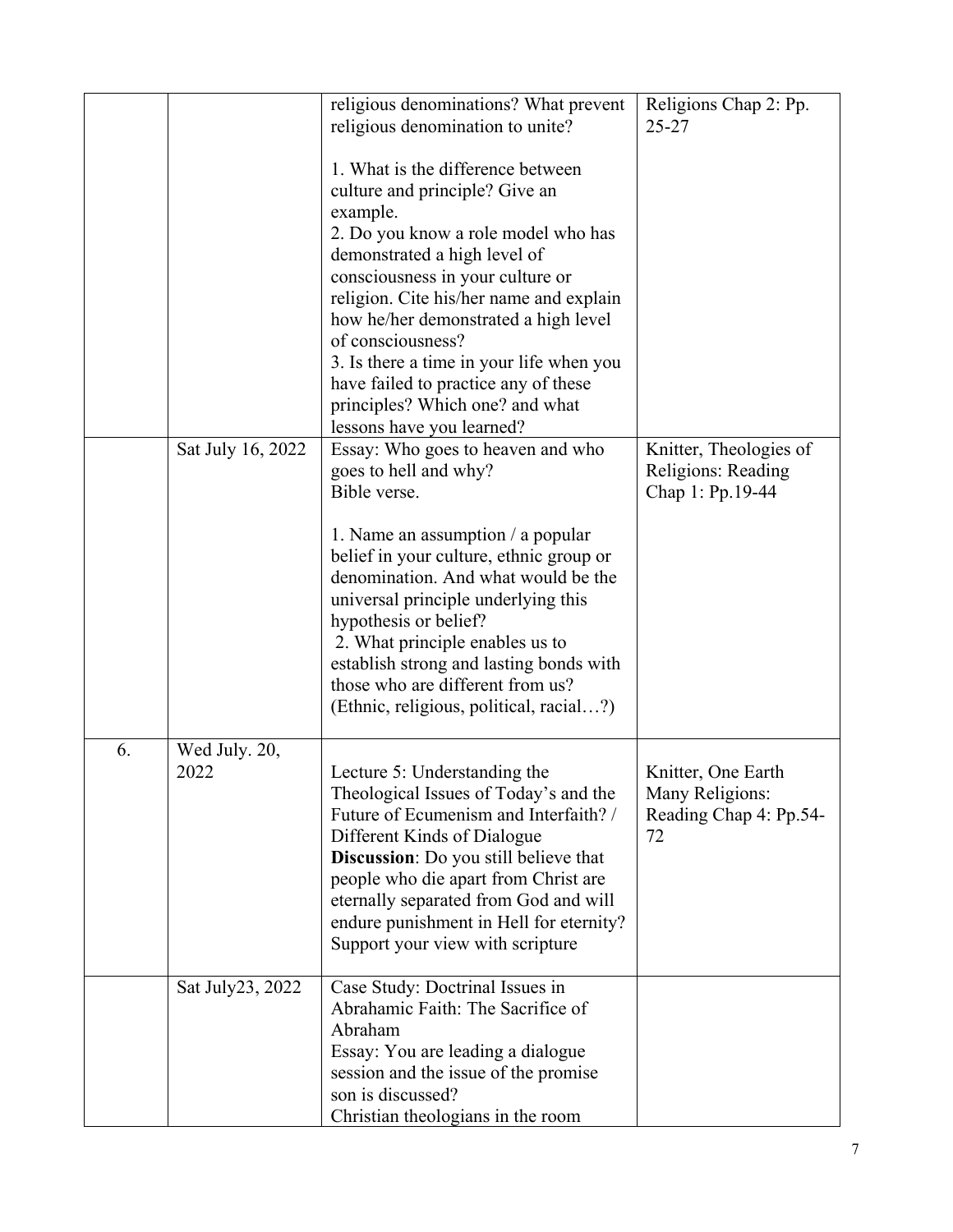|    |                       | religious denominations? What prevent<br>religious denomination to unite?                                                                                                                                                                                                                                                                              | Religions Chap 2: Pp.<br>$25 - 27$                                    |
|----|-----------------------|--------------------------------------------------------------------------------------------------------------------------------------------------------------------------------------------------------------------------------------------------------------------------------------------------------------------------------------------------------|-----------------------------------------------------------------------|
|    |                       | 1. What is the difference between<br>culture and principle? Give an                                                                                                                                                                                                                                                                                    |                                                                       |
|    |                       | example.<br>2. Do you know a role model who has<br>demonstrated a high level of                                                                                                                                                                                                                                                                        |                                                                       |
|    |                       | consciousness in your culture or<br>religion. Cite his/her name and explain                                                                                                                                                                                                                                                                            |                                                                       |
|    |                       | how he/her demonstrated a high level<br>of consciousness?                                                                                                                                                                                                                                                                                              |                                                                       |
|    |                       | 3. Is there a time in your life when you<br>have failed to practice any of these<br>principles? Which one? and what                                                                                                                                                                                                                                    |                                                                       |
|    |                       | lessons have you learned?                                                                                                                                                                                                                                                                                                                              |                                                                       |
|    | Sat July 16, 2022     | Essay: Who goes to heaven and who<br>goes to hell and why?<br>Bible verse.                                                                                                                                                                                                                                                                             | Knitter, Theologies of<br>Religions: Reading<br>Chap 1: Pp.19-44      |
|    |                       | 1. Name an assumption $\ell$ a popular<br>belief in your culture, ethnic group or                                                                                                                                                                                                                                                                      |                                                                       |
|    |                       | denomination. And what would be the<br>universal principle underlying this                                                                                                                                                                                                                                                                             |                                                                       |
|    |                       | hypothesis or belief?<br>2. What principle enables us to<br>establish strong and lasting bonds with<br>those who are different from us?<br>(Ethnic, religious, political, racial?)                                                                                                                                                                     |                                                                       |
|    |                       |                                                                                                                                                                                                                                                                                                                                                        |                                                                       |
| 6. | Wed July. 20,<br>2022 | Lecture 5: Understanding the<br>Theological Issues of Today's and the<br>Future of Ecumenism and Interfaith? /<br>Different Kinds of Dialogue<br>Discussion: Do you still believe that<br>people who die apart from Christ are<br>eternally separated from God and will<br>endure punishment in Hell for eternity?<br>Support your view with scripture | Knitter, One Earth<br>Many Religions:<br>Reading Chap 4: Pp.54-<br>72 |
|    | Sat July23, 2022      | Case Study: Doctrinal Issues in<br>Abrahamic Faith: The Sacrifice of                                                                                                                                                                                                                                                                                   |                                                                       |
|    |                       | Abraham<br>Essay: You are leading a dialogue<br>session and the issue of the promise                                                                                                                                                                                                                                                                   |                                                                       |
|    |                       | son is discussed?<br>Christian theologians in the room                                                                                                                                                                                                                                                                                                 |                                                                       |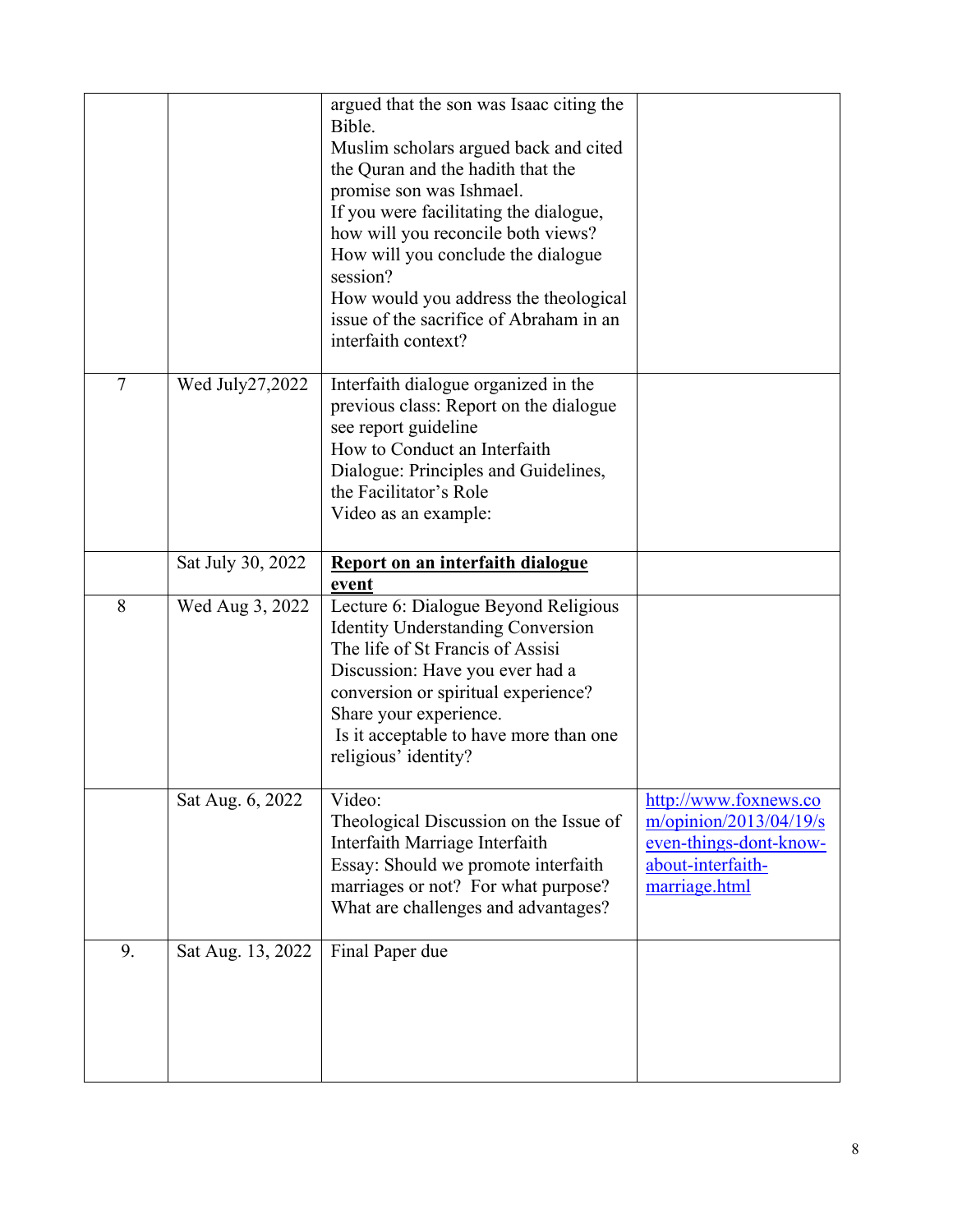|                |                   | argued that the son was Isaac citing the<br>Bible.<br>Muslim scholars argued back and cited<br>the Quran and the hadith that the<br>promise son was Ishmael.<br>If you were facilitating the dialogue,<br>how will you reconcile both views?<br>How will you conclude the dialogue<br>session?<br>How would you address the theological<br>issue of the sacrifice of Abraham in an<br>interfaith context? |                                                                                                                    |
|----------------|-------------------|-----------------------------------------------------------------------------------------------------------------------------------------------------------------------------------------------------------------------------------------------------------------------------------------------------------------------------------------------------------------------------------------------------------|--------------------------------------------------------------------------------------------------------------------|
| $\overline{7}$ | Wed July27,2022   | Interfaith dialogue organized in the<br>previous class: Report on the dialogue<br>see report guideline<br>How to Conduct an Interfaith<br>Dialogue: Principles and Guidelines,<br>the Facilitator's Role<br>Video as an example:                                                                                                                                                                          |                                                                                                                    |
|                | Sat July 30, 2022 | Report on an interfaith dialogue<br>event                                                                                                                                                                                                                                                                                                                                                                 |                                                                                                                    |
| 8              | Wed Aug 3, 2022   | Lecture 6: Dialogue Beyond Religious<br><b>Identity Understanding Conversion</b><br>The life of St Francis of Assisi<br>Discussion: Have you ever had a<br>conversion or spiritual experience?<br>Share your experience.<br>Is it acceptable to have more than one<br>religious' identity?                                                                                                                |                                                                                                                    |
|                | Sat Aug. 6, 2022  | Video:<br>Theological Discussion on the Issue of<br>Interfaith Marriage Interfaith<br>Essay: Should we promote interfaith<br>marriages or not? For what purpose?<br>What are challenges and advantages?                                                                                                                                                                                                   | http://www.foxnews.co<br>$m$ /opinion/2013/04/19/s<br>even-things-dont-know-<br>about-interfaith-<br>marriage.html |
| 9.             | Sat Aug. 13, 2022 | Final Paper due                                                                                                                                                                                                                                                                                                                                                                                           |                                                                                                                    |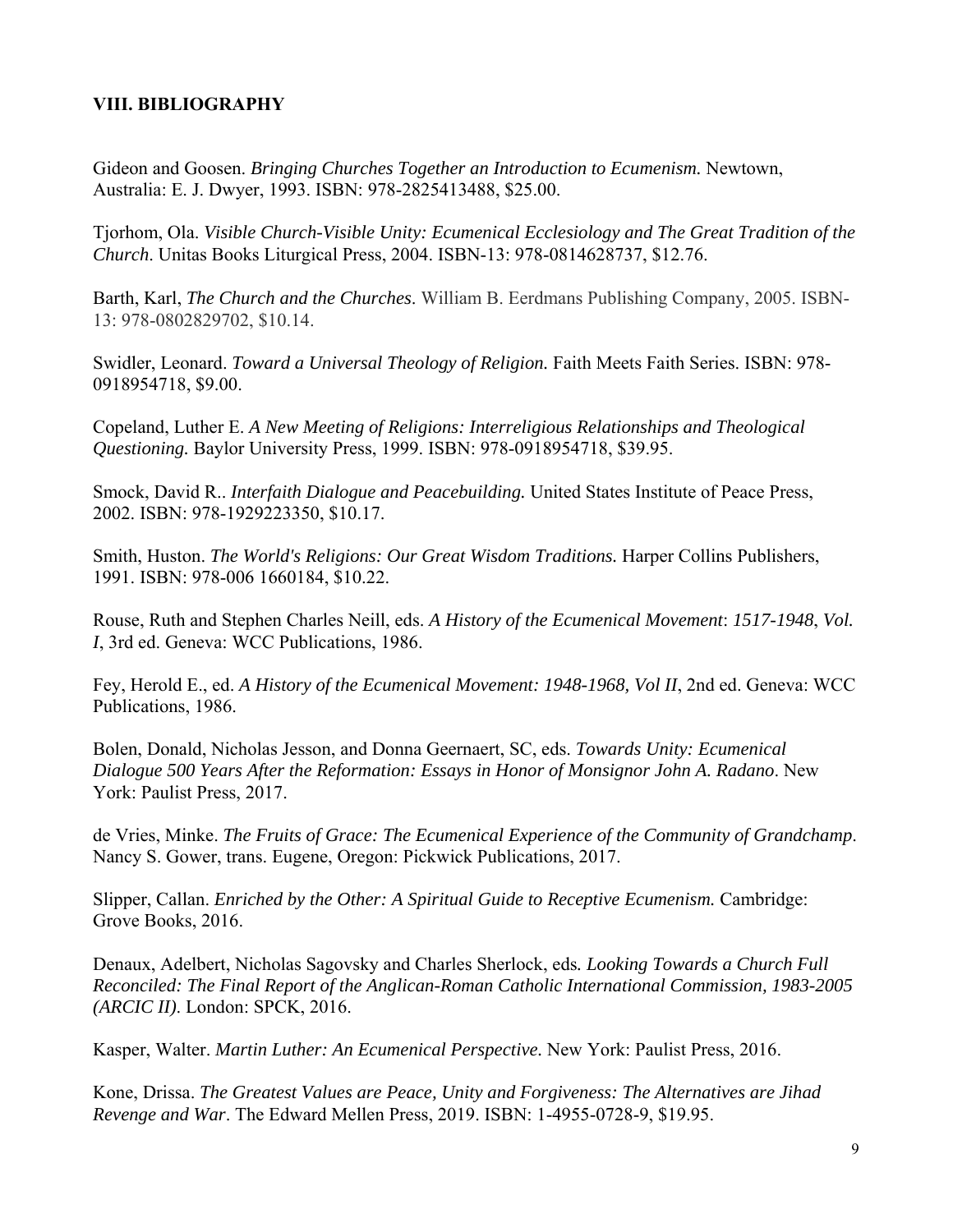### **VIII. BIBLIOGRAPHY**

Gideon and Goosen. *Bringing Churches Together an Introduction to Ecumenism.* Newtown, Australia: E. J. Dwyer, 1993. ISBN: 978-2825413488, \$25.00.

Tjorhom, Ola. *Visible Church-Visible Unity: Ecumenical Ecclesiology and The Great Tradition of the Church*. Unitas Books Liturgical Press, 2004. ISBN-13: 978-0814628737, \$12.76.

Barth, Karl, *The Church and the Churches*. William B. Eerdmans Publishing Company, 2005. ISBN-13: 978-0802829702, \$10.14.

Swidler, Leonard. *Toward a Universal Theology of Religion.* Faith Meets Faith Series. ISBN: 978- 0918954718, \$9.00.

Copeland, Luther E. *A New Meeting of Religions: Interreligious Relationships and Theological Questioning.* Baylor University Press, 1999. ISBN: 978-0918954718, \$39.95.

Smock, David R.. *Interfaith Dialogue and Peacebuilding.* United States Institute of Peace Press, 2002. ISBN: 978-1929223350, \$10.17.

Smith, Huston. *The World's Religions: Our Great Wisdom Traditions.* Harper Collins Publishers, 1991. ISBN: 978-006 1660184, \$10.22.

Rouse, Ruth and Stephen Charles Neill, eds. *A History of the Ecumenical Movement*: *1517-1948*, *Vol. I*, 3rd ed. Geneva: WCC Publications, 1986.

Fey, Herold E., ed. *A History of the Ecumenical Movement: 1948-1968, Vol II*, 2nd ed. Geneva: WCC Publications, 1986.

Bolen, Donald, Nicholas Jesson, and Donna Geernaert, SC, eds. *Towards Unity: Ecumenical Dialogue 500 Years After the Reformation: Essays in Honor of Monsignor John A. Radano*. New York: Paulist Press, 2017.

de Vries, Minke. *The Fruits of Grace: The Ecumenical Experience of the Community of Grandchamp*. Nancy S. Gower, trans. Eugene, Oregon: Pickwick Publications, 2017.

Slipper, Callan. *Enriched by the Other: A Spiritual Guide to Receptive Ecumenism.* Cambridge: Grove Books, 2016.

Denaux, Adelbert, Nicholas Sagovsky and Charles Sherlock, eds*. Looking Towards a Church Full Reconciled: The Final Report of the Anglican-Roman Catholic International Commission, 1983-2005 (ARCIC II)*. London: SPCK, 2016.

Kasper, Walter. *Martin Luther: An Ecumenical Perspective.* New York: Paulist Press, 2016.

Kone, Drissa. *The Greatest Values are Peace, Unity and Forgiveness: The Alternatives are Jihad Revenge and War*. The Edward Mellen Press, 2019. ISBN: 1-4955-0728-9, \$19.95.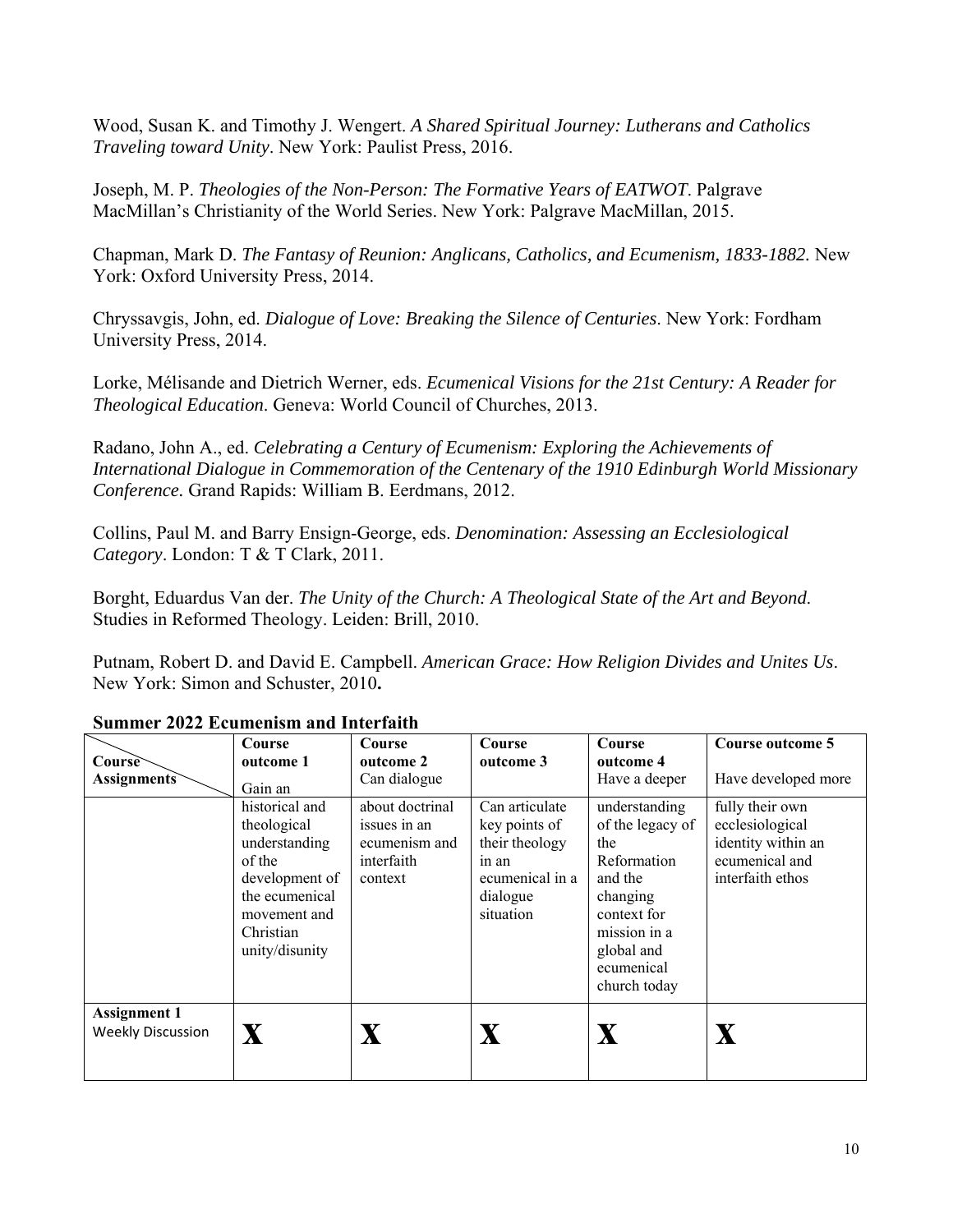Wood, Susan K. and Timothy J. Wengert. *A Shared Spiritual Journey: Lutherans and Catholics Traveling toward Unity*. New York: Paulist Press, 2016.

Joseph, M. P. *Theologies of the Non-Person: The Formative Years of EATWOT*. Palgrave MacMillan's Christianity of the World Series. New York: Palgrave MacMillan, 2015.

Chapman, Mark D. *The Fantasy of Reunion: Anglicans, Catholics, and Ecumenism, 1833-1882.* New York: Oxford University Press, 2014.

Chryssavgis, John, ed. *Dialogue of Love: Breaking the Silence of Centuries*. New York: Fordham University Press, 2014.

Lorke, Mélisande and Dietrich Werner, eds. *Ecumenical Visions for the 21st Century: A Reader for Theological Education*. Geneva: World Council of Churches, 2013.

Radano, John A., ed. *Celebrating a Century of Ecumenism: Exploring the Achievements of International Dialogue in Commemoration of the Centenary of the 1910 Edinburgh World Missionary Conference.* Grand Rapids: William B. Eerdmans, 2012.

Collins, Paul M. and Barry Ensign-George, eds. *Denomination: Assessing an Ecclesiological Category*. London: T & T Clark, 2011.

Borght, Eduardus Van der. *The Unity of the Church: A Theological State of the Art and Beyond*. Studies in Reformed Theology. Leiden: Brill, 2010.

Putnam, Robert D. and David E. Campbell. *American Grace: How Religion Divides and Unites Us*. New York: Simon and Schuster, 2010**.** 

|                                                 | Course                                                                                                                    | Course                                                 | Course                                                                               | Course                                                                                                                                   | Course outcome 5                                                            |
|-------------------------------------------------|---------------------------------------------------------------------------------------------------------------------------|--------------------------------------------------------|--------------------------------------------------------------------------------------|------------------------------------------------------------------------------------------------------------------------------------------|-----------------------------------------------------------------------------|
| Course<br><b>Assignments</b>                    | outcome 1<br>Gain an<br>historical and                                                                                    | outcome 2<br>Can dialogue<br>about doctrinal           | outcome 3<br>Can articulate                                                          | outcome 4<br>Have a deeper<br>understanding                                                                                              | Have developed more<br>fully their own                                      |
|                                                 | theological<br>understanding<br>of the<br>development of<br>the ecumenical<br>movement and<br>Christian<br>unity/disunity | issues in an<br>ecumenism and<br>interfaith<br>context | key points of<br>their theology<br>in an<br>ecumenical in a<br>dialogue<br>situation | of the legacy of<br>the<br>Reformation<br>and the<br>changing<br>context for<br>mission in a<br>global and<br>ecumenical<br>church today | ecclesiological<br>identity within an<br>ecumenical and<br>interfaith ethos |
| <b>Assignment 1</b><br><b>Weekly Discussion</b> | $\mathbf X$                                                                                                               |                                                        |                                                                                      | X                                                                                                                                        |                                                                             |

#### **Summer 2022 Ecumenism and Interfaith**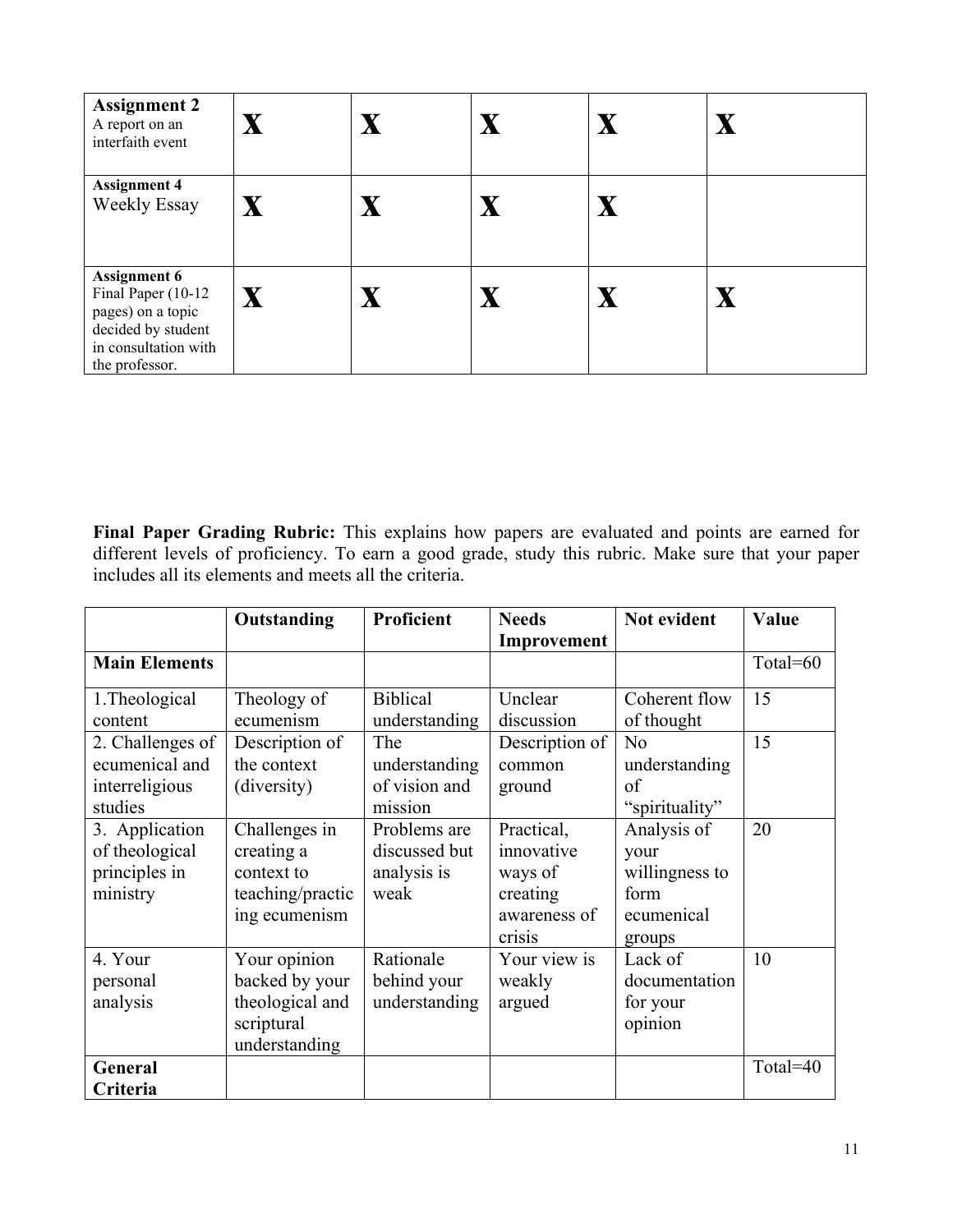| <b>Assignment 2</b><br>A report on an<br>interfaith event                                                                      | $\mathbf X$  | $\mathbf{X}$              | $\mathbf X$ | $\mathbf X$ | $\overline{\textbf{X}}$ |
|--------------------------------------------------------------------------------------------------------------------------------|--------------|---------------------------|-------------|-------------|-------------------------|
| <b>Assignment 4</b><br><b>Weekly Essay</b>                                                                                     | $\mathbf X$  | $\boldsymbol{\mathrm{X}}$ | $\mathbf X$ | $\mathbf X$ |                         |
| <b>Assignment 6</b><br>Final Paper (10-12<br>pages) on a topic<br>decided by student<br>in consultation with<br>the professor. | $\mathbf{X}$ |                           | $\mathbf X$ | $\mathbf X$ |                         |

**Final Paper Grading Rubric:** This explains how papers are evaluated and points are earned for different levels of proficiency. To earn a good grade, study this rubric. Make sure that your paper includes all its elements and meets all the criteria.

|                      | Outstanding      | Proficient      | <b>Needs</b>   | Not evident    | Value    |
|----------------------|------------------|-----------------|----------------|----------------|----------|
|                      |                  |                 | Improvement    |                |          |
| <b>Main Elements</b> |                  |                 |                |                | Total=60 |
| 1. Theological       | Theology of      | <b>Biblical</b> | Unclear        | Coherent flow  | 15       |
| content              | ecumenism        | understanding   | discussion     | of thought     |          |
| 2. Challenges of     | Description of   | The             | Description of | N <sub>o</sub> | 15       |
| ecumenical and       | the context      | understanding   | common         | understanding  |          |
| interreligious       | (diversity)      | of vision and   | ground         | of             |          |
| studies              |                  | mission         |                | "spirituality" |          |
| 3. Application       | Challenges in    | Problems are    | Practical,     | Analysis of    | 20       |
| of theological       | creating a       | discussed but   | innovative     | your           |          |
| principles in        | context to       | analysis is     | ways of        | willingness to |          |
| ministry             | teaching/practic | weak            | creating       | form           |          |
|                      | ing ecumenism    |                 | awareness of   | ecumenical     |          |
|                      |                  |                 | crisis         | groups         |          |
| 4. Your              | Your opinion     | Rationale       | Your view is   | Lack of        | 10       |
| personal             | backed by your   | behind your     | weakly         | documentation  |          |
| analysis             | theological and  | understanding   | argued         | for your       |          |
|                      | scriptural       |                 |                | opinion        |          |
|                      | understanding    |                 |                |                |          |
| General              |                  |                 |                |                | Total=40 |
| Criteria             |                  |                 |                |                |          |